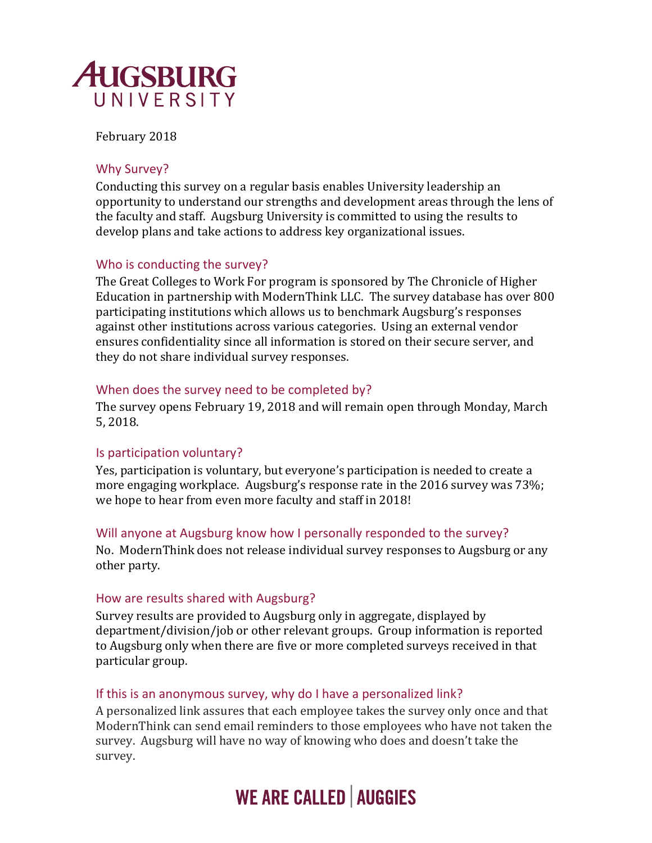

February 2018

### Why Survey?

Conducting this survey on a regular basis enables University leadership an opportunity to understand our strengths and development areas through the lens of the faculty and staff. Augsburg University is committed to using the results to develop plans and take actions to address key organizational issues.

## Who is conducting the survey?

The Great Colleges to Work For program is sponsored by The Chronicle of Higher Education in partnership with ModernThink LLC. The survey database has over 800 participating institutions which allows us to benchmark Augsburg's responses against other institutions across various categories. Using an external vendor ensures confidentiality since all information is stored on their secure server, and they do not share individual survey responses.

### When does the survey need to be completed by?

The survey opens February 19, 2018 and will remain open through Monday, March 5, 2018.

## Is participation voluntary?

Yes, participation is voluntary, but everyone's participation is needed to create a more engaging workplace. Augsburg's response rate in the 2016 survey was 73%; we hope to hear from even more faculty and staff in 2018!

## Will anyone at Augsburg know how I personally responded to the survey?

No. ModernThink does not release individual survey responses to Augsburg or any other party.

### How are results shared with Augsburg?

Survey results are provided to Augsburg only in aggregate, displayed by department/division/job or other relevant groups. Group information is reported to Augsburg only when there are five or more completed surveys received in that particular group.

### If this is an anonymous survey, why do I have a personalized link?

A personalized link assures that each employee takes the survey only once and that ModernThink can send email reminders to those employees who have not taken the survey. Augsburg will have no way of knowing who does and doesn't take the survey.

# **WE ARE CALLED | AUGGIES**